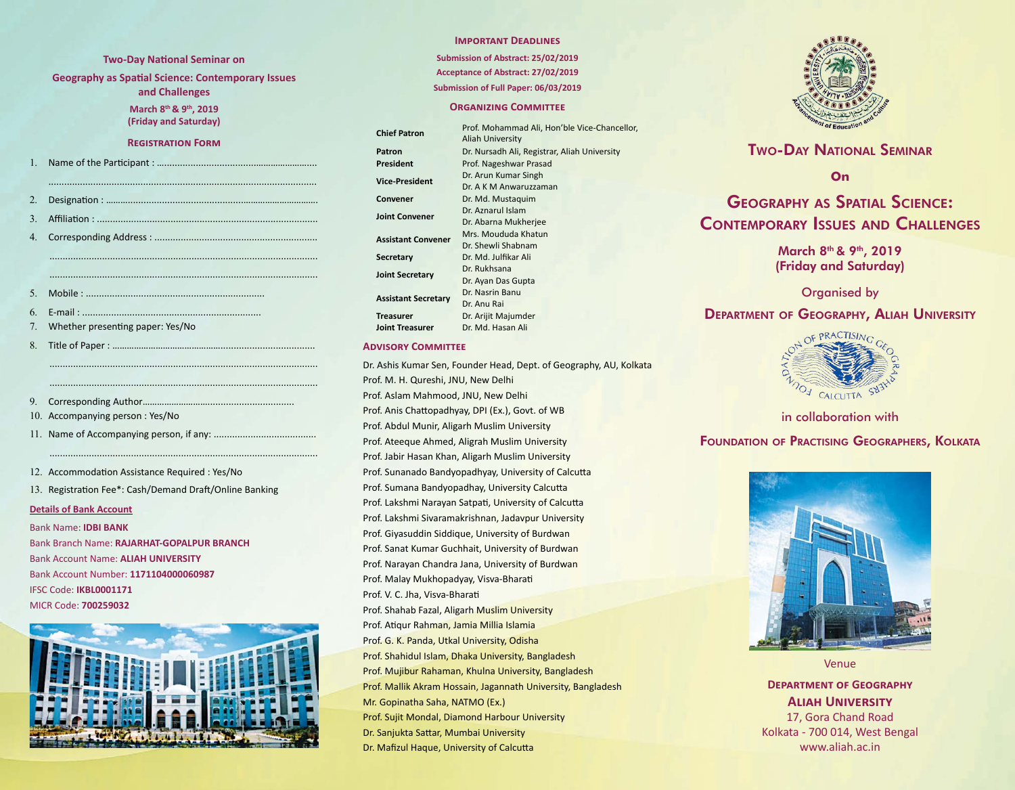#### **Two-Day National Seminar on**

**Geography as Spatial Science: Contemporary Issues** 

**and Challenges**

**March 8th & 9th, 2019 (Friday and Saturday)**

#### **Registration Form**

| 1 <sup>1</sup> |                                  |
|----------------|----------------------------------|
|                |                                  |
| $2_{-}$        |                                  |
| 3 <sub>1</sub> |                                  |
| 4.             |                                  |
|                |                                  |
|                |                                  |
|                |                                  |
| $5_{-}$        |                                  |
| 6.             |                                  |
| 7.             | Whether presenting paper: Yes/No |
| 8.             |                                  |
|                |                                  |
|                |                                  |
|                |                                  |
| 9.             |                                  |
|                |                                  |

- 10. Accompanying person : Yes/No
- 11. Name of Accompanying person, if any: .......................................

12. Accommodation Assistance Required : Yes/No

13. Registration Fee\*: Cash/Demand Draft/Online Banking

......................................................................................................

#### **Details of Bank Account**

Bank Name: **IDBI BANK** Bank Branch Name: **RAJARHAT-GOPALPUR BRANCH** Bank Account Name: **ALIAH UNIVERSITY** Bank Account Number: **1171104000060987** IFSC Code: **IKBL0001171** MICR Code: **700259032**



## **Important Deadlines**

**Submission of Abstract: 25/02/2019 Acceptance of Abstract: 27/02/2019 Submission of Full Paper: 06/03/2019**

#### **Organizing Committee**

**Chief Patron** Prof. Mohammad Ali, Hon'ble Vice-Chancellor, Aliah University Patron **Dr. Nursadh Ali, Registrar, Aliah University President** Prof. Nageshwar Prasad **Vice-President** Dr. Arun Kumar Singh Dr. A K M Anwaruzzaman **Convener** Dr. Md. Mustaquim **Joint Convener** Dr. Aznarul Islam Dr. Abarna Mukherjee **Assistant Convener** Mrs. Moududa Khatun Dr. Shewli Shabnam **Secretary** Dr. Md. Julfikar Ali **Joint Secretary** Dr. Rukhsana Dr. Ayan Das Gupta **Assistant Secretary** Dr. Nasrin Banu Dr. Anu Rai **Treasurer** Dr. Arijit Majumder **Joint Treasurer** Dr. Md. Hasan Ali

### **Advisory Committee**

Dr. Ashis Kumar Sen, Founder Head, Dept. of Geography, AU, Kolkata Prof. M. H. Qureshi, JNU, New Delhi Prof. Aslam Mahmood, JNU, New Delhi Prof. Anis Chattopadhyay, DPI (Ex.), Govt. of WB Prof. Abdul Munir, Aligarh Muslim University Prof. Ateeque Ahmed, Aligrah Muslim University Prof. Jabir Hasan Khan, Aligarh Muslim University Prof. Sunanado Bandyopadhyay, University of Calcutta Prof. Sumana Bandyopadhay, University Calcutta Prof. Lakshmi Narayan Satpati, University of Calcutta Prof. Lakshmi Sivaramakrishnan, Jadavpur University Prof. Giyasuddin Siddique, University of Burdwan Prof. Sanat Kumar Guchhait, University of Burdwan Prof. Narayan Chandra Jana, University of Burdwan Prof. Malay Mukhopadyay, Visva-Bharati Prof. V. C. Jha, Visva-Bharati Prof. Shahab Fazal, Aligarh Muslim University Prof. Atiqur Rahman, Jamia Millia Islamia Prof. G. K. Panda, Utkal University, Odisha Prof. Shahidul Islam, Dhaka University, Bangladesh Prof. Mujibur Rahaman, Khulna University, Bangladesh Prof. Mallik Akram Hossain, Jagannath University, Bangladesh Mr. Gopinatha Saha, NATMO (Ex.) Prof. Sujit Mondal, Diamond Harbour University Dr. Sanjukta Sattar, Mumbai University Dr. Mafizul Haque, University of Calcutta



# Two-Day National Seminar

**On**

# Geography as Spatial Science: Contemporary Issues and Challenges

March 8<sup>th</sup> & 9<sup>th</sup>, 2019 (Friday and Saturday)

Organised by

# Department of Geography, Aliah University



# in collaboration with

# Foundation of Practising Geographers, Kolkata



Venue

**Department of Geography Aliah University** 17, Gora Chand Road Kolkata - 700 014, West Bengal www.aliah.ac.in